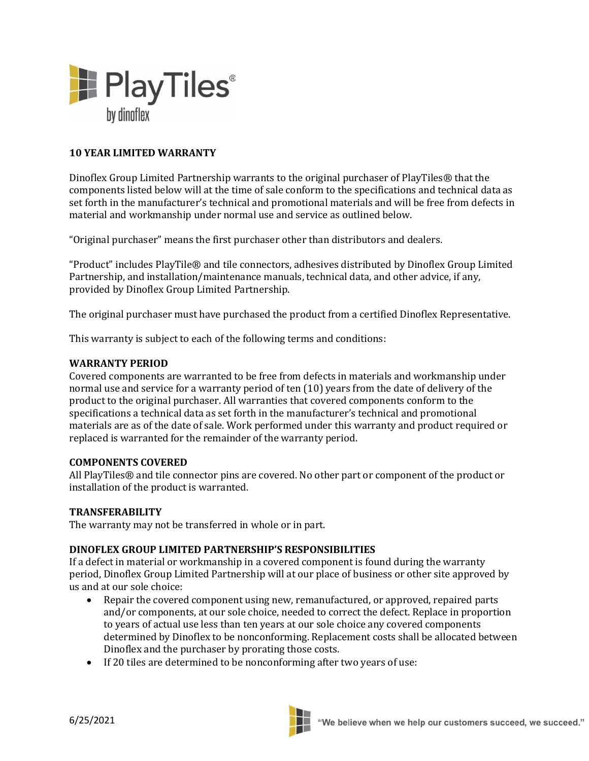

## **10 YEAR LIMITED WARRANTY**

Dinoflex Group Limited Partnership warrants to the original purchaser of PlayTiles® that the components listed below will at the time of sale conform to the specifications and technical data as set forth in the manufacturer's technical and promotional materials and will be free from defects in material and workmanship under normal use and service as outlined below.

"Original purchaser" means the first purchaser other than distributors and dealers.

"Product" includes PlayTile® and tile connectors, adhesives distributed by Dinoflex Group Limited Partnership, and installation/maintenance manuals, technical data, and other advice, if any, provided by Dinoflex Group Limited Partnership.

The original purchaser must have purchased the product from a certified Dinoflex Representative.

This warranty is subject to each of the following terms and conditions:

#### **WARRANTY PERIOD**

Covered components are warranted to be free from defects in materials and workmanship under normal use and service for a warranty period of ten (10) years from the date of delivery of the product to the original purchaser. All warranties that covered components conform to the specifications a technical data as set forth in the manufacturer's technical and promotional materials are as of the date of sale. Work performed under this warranty and product required or replaced is warranted for the remainder of the warranty period.

#### **COMPONENTS COVERED**

All PlayTiles® and tile connector pins are covered. No other part or component of the product or installation of the product is warranted.

### **TRANSFERABILITY**

The warranty may not be transferred in whole or in part.

### **DINOFLEX GROUP LIMITED PARTNERSHIP'S RESPONSIBILITIES**

If a defect in material or workmanship in a covered component is found during the warranty period, Dinoflex Group Limited Partnership will at our place of business or other site approved by us and at our sole choice:

- Repair the covered component using new, remanufactured, or approved, repaired parts and/or components, at our sole choice, needed to correct the defect. Replace in proportion to years of actual use less than ten years at our sole choice any covered components determined by Dinoflex to be nonconforming. Replacement costs shall be allocated between Dinoflex and the purchaser by prorating those costs.
- If 20 tiles are determined to be nonconforming after two years of use: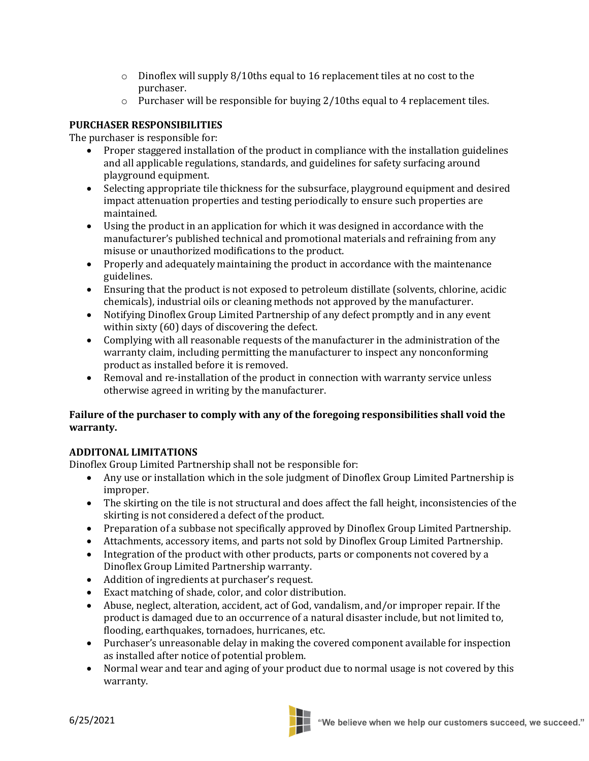- $\circ$  Dinoflex will supply 8/10ths equal to 16 replacement tiles at no cost to the purchaser.
- o Purchaser will be responsible for buying 2/10ths equal to 4 replacement tiles.

## **PURCHASER RESPONSIBILITIES**

The purchaser is responsible for:

- Proper staggered installation of the product in compliance with the installation guidelines and all applicable regulations, standards, and guidelines for safety surfacing around playground equipment.
- Selecting appropriate tile thickness for the subsurface, playground equipment and desired impact attenuation properties and testing periodically to ensure such properties are maintained.
- Using the product in an application for which it was designed in accordance with the manufacturer's published technical and promotional materials and refraining from any misuse or unauthorized modifications to the product.
- Properly and adequately maintaining the product in accordance with the maintenance guidelines.
- Ensuring that the product is not exposed to petroleum distillate (solvents, chlorine, acidic chemicals), industrial oils or cleaning methods not approved by the manufacturer.
- Notifying Dinoflex Group Limited Partnership of any defect promptly and in any event within sixty (60) days of discovering the defect.
- Complying with all reasonable requests of the manufacturer in the administration of the warranty claim, including permitting the manufacturer to inspect any nonconforming product as installed before it is removed.
- Removal and re-installation of the product in connection with warranty service unless otherwise agreed in writing by the manufacturer.

# **Failure of the purchaser to comply with any of the foregoing responsibilities shall void the warranty.**

# **ADDITONAL LIMITATIONS**

Dinoflex Group Limited Partnership shall not be responsible for:

- Any use or installation which in the sole judgment of Dinoflex Group Limited Partnership is improper.
- The skirting on the tile is not structural and does affect the fall height, inconsistencies of the skirting is not considered a defect of the product.
- Preparation of a subbase not specifically approved by Dinoflex Group Limited Partnership.
- Attachments, accessory items, and parts not sold by Dinoflex Group Limited Partnership.
- Integration of the product with other products, parts or components not covered by a Dinoflex Group Limited Partnership warranty.
- Addition of ingredients at purchaser's request.
- Exact matching of shade, color, and color distribution.
- Abuse, neglect, alteration, accident, act of God, vandalism, and/or improper repair. If the product is damaged due to an occurrence of a natural disaster include, but not limited to, flooding, earthquakes, tornadoes, hurricanes, etc.
- Purchaser's unreasonable delay in making the covered component available for inspection as installed after notice of potential problem.
- Normal wear and tear and aging of your product due to normal usage is not covered by this warranty.

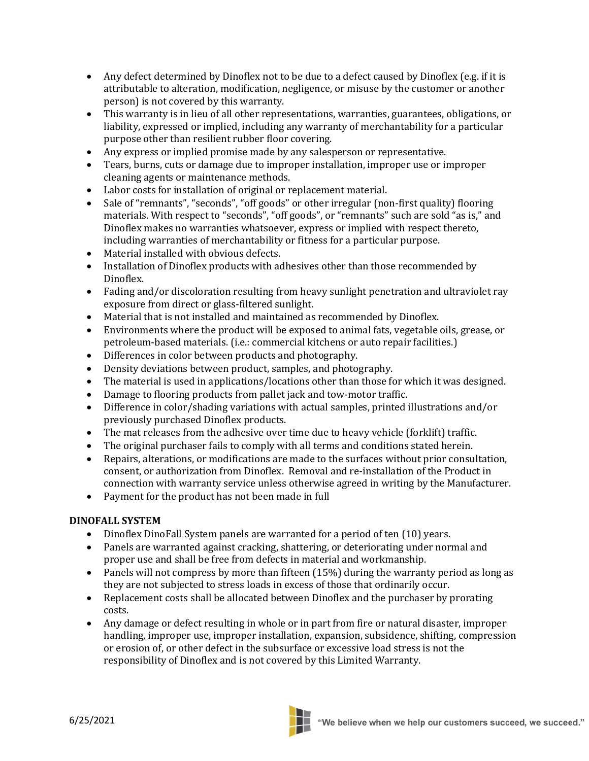- Any defect determined by Dinoflex not to be due to a defect caused by Dinoflex (e.g. if it is attributable to alteration, modification, negligence, or misuse by the customer or another person) is not covered by this warranty.
- This warranty is in lieu of all other representations, warranties, guarantees, obligations, or liability, expressed or implied, including any warranty of merchantability for a particular purpose other than resilient rubber floor covering.
- Any express or implied promise made by any salesperson or representative.
- Tears, burns, cuts or damage due to improper installation, improper use or improper cleaning agents or maintenance methods.
- Labor costs for installation of original or replacement material.
- Sale of "remnants", "seconds", "off goods" or other irregular (non-first quality) flooring materials. With respect to "seconds", "off goods", or "remnants" such are sold "as is," and Dinoflex makes no warranties whatsoever, express or implied with respect thereto, including warranties of merchantability or fitness for a particular purpose.
- Material installed with obvious defects.
- Installation of Dinoflex products with adhesives other than those recommended by Dinoflex.
- Fading and/or discoloration resulting from heavy sunlight penetration and ultraviolet ray exposure from direct or glass-filtered sunlight.
- Material that is not installed and maintained as recommended by Dinoflex.
- Environments where the product will be exposed to animal fats, vegetable oils, grease, or petroleum-based materials. (i.e.: commercial kitchens or auto repair facilities.)
- Differences in color between products and photography.
- Density deviations between product, samples, and photography.
- The material is used in applications/locations other than those for which it was designed.
- Damage to flooring products from pallet jack and tow-motor traffic.
- Difference in color/shading variations with actual samples, printed illustrations and/or previously purchased Dinoflex products.
- The mat releases from the adhesive over time due to heavy vehicle (forklift) traffic.
- The original purchaser fails to comply with all terms and conditions stated herein.
- Repairs, alterations, or modifications are made to the surfaces without prior consultation, consent, or authorization from Dinoflex. Removal and re-installation of the Product in connection with warranty service unless otherwise agreed in writing by the Manufacturer.
- Payment for the product has not been made in full

## **DINOFALL SYSTEM**

- Dinoflex DinoFall System panels are warranted for a period of ten (10) years.
- Panels are warranted against cracking, shattering, or deteriorating under normal and proper use and shall be free from defects in material and workmanship.
- Panels will not compress by more than fifteen (15%) during the warranty period as long as they are not subjected to stress loads in excess of those that ordinarily occur.
- Replacement costs shall be allocated between Dinoflex and the purchaser by prorating costs.
- Any damage or defect resulting in whole or in part from fire or natural disaster, improper handling, improper use, improper installation, expansion, subsidence, shifting, compression or erosion of, or other defect in the subsurface or excessive load stress is not the responsibility of Dinoflex and is not covered by this Limited Warranty.